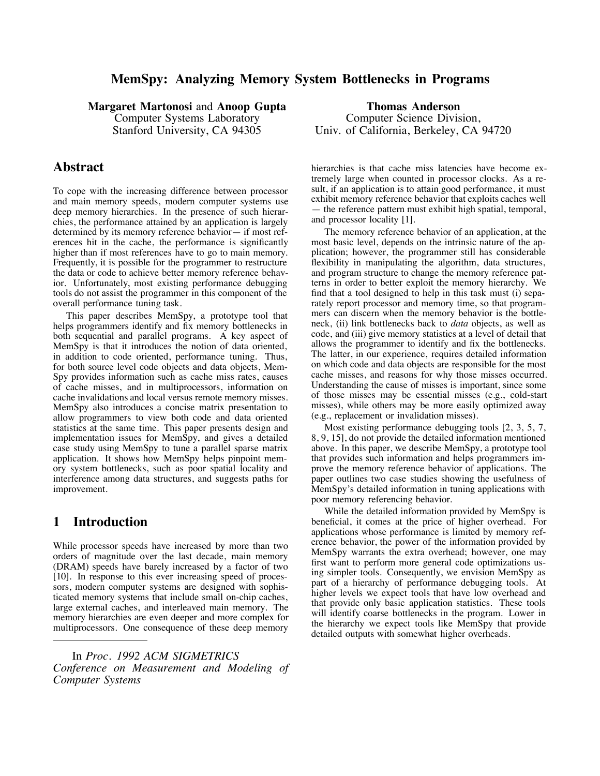### **MemSpy: Analyzing Memory System Bottlenecks in Programs**

**Margaret Martonosi** and **Anoop Gupta**

Computer Systems Laboratory Stanford University, CA 94305

### **Abstract**

To cope with the increasing difference between processor and main memory speeds, modern computer systems use deep memory hierarchies. In the presence of such hierarchies, the performance attained by an application is largely determined by its memory reference behavior— if most references hit in the cache, the performance is significantly higher than if most references have to go to main memory. Frequently, it is possible for the programmer to restructure the data or code to achieve better memory reference behavior. Unfortunately, most existing performance debugging tools do not assist the programmer in this component of the overall performance tuning task.

This paper describes MemSpy, a prototype tool that helps programmers identify and fix memory bottlenecks in both sequential and parallel programs. A key aspect of MemSpy is that it introduces the notion of data oriented, in addition to code oriented, performance tuning. Thus, for both source level code objects and data objects, Mem-Spy provides information such as cache miss rates, causes of cache misses, and in multiprocessors, information on cache invalidations and local versus remote memory misses. MemSpy also introduces a concise matrix presentation to allow programmers to view both code and data oriented statistics at the same time. This paper presents design and implementation issues for MemSpy, and gives a detailed case study using MemSpy to tune a parallel sparse matrix application. It shows how MemSpy helps pinpoint memory system bottlenecks, such as poor spatial locality and interference among data structures, and suggests paths for improvement.

### **1 Introduction**

While processor speeds have increased by more than two orders of magnitude over the last decade, main memory (DRAM) speeds have barely increased by a factor of two [10]. In response to this ever increasing speed of processors, modern computer systems are designed with sophisticated memory systems that include small on-chip caches, large external caches, and interleaved main memory. The memory hierarchies are even deeper and more complex for multiprocessors. One consequence of these deep memory

**Thomas Anderson** Computer Science Division, Univ. of California, Berkeley, CA 94720

hierarchies is that cache miss latencies have become extremely large when counted in processor clocks. As a result, if an application is to attain good performance, it must exhibit memory reference behavior that exploits caches well — the reference pattern must exhibit high spatial, temporal, and processor locality [1].

The memory reference behavior of an application, at the most basic level, depends on the intrinsic nature of the application; however, the programmer still has considerable flexibility in manipulating the algorithm, data structures, and program structure to change the memory reference patterns in order to better exploit the memory hierarchy. We find that a tool designed to help in this task must (i) separately report processor and memory time, so that programmers can discern when the memory behavior is the bottleneck, (ii) link bottlenecks back to *data* objects, as well as code, and (iii) give memory statistics at a level of detail that allows the programmer to identify and fix the bottlenecks. The latter, in our experience, requires detailed information on which code and data objects are responsible for the most cache misses, and reasons for why those misses occurred. Understanding the cause of misses is important, since some of those misses may be essential misses (e.g., cold-start misses), while others may be more easily optimized away (e.g., replacement or invalidation misses).

Most existing performance debugging tools [2, 3, 5, 7, 8, 9, 15], do not provide the detailed information mentioned above. In this paper, we describe MemSpy, a prototype tool that provides such information and helps programmers improve the memory reference behavior of applications. The paper outlines two case studies showing the usefulness of MemSpy's detailed information in tuning applications with poor memory referencing behavior.

While the detailed information provided by MemSpy is beneficial, it comes at the price of higher overhead. For applications whose performance is limited by memory reference behavior, the power of the information provided by MemSpy warrants the extra overhead; however, one may first want to perform more general code optimizations using simpler tools. Consequently, we envision MemSpy as part of a hierarchy of performance debugging tools. At higher levels we expect tools that have low overhead and that provide only basic application statistics. These tools will identify coarse bottlenecks in the program. Lower in the hierarchy we expect tools like MemSpy that provide detailed outputs with somewhat higher overheads.

In *Proc. 1992 ACM SIGMETRICS Conference on Measurement and Modeling of Computer Systems*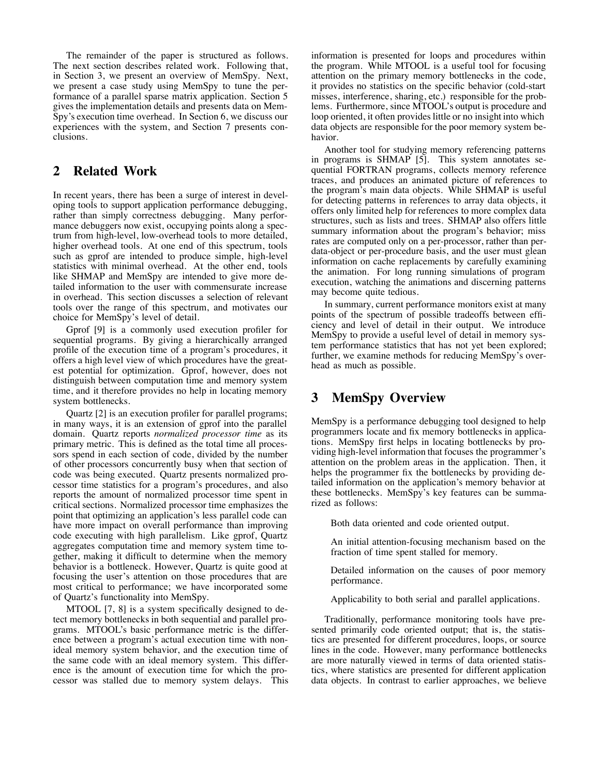The remainder of the paper is structured as follows. The next section describes related work. Following that, in Section 3, we present an overview of MemSpy. Next, we present a case study using MemSpy to tune the performance of a parallel sparse matrix application. Section 5 gives the implementation details and presents data on Mem-Spy's execution time overhead. In Section 6, we discuss our experiences with the system, and Section 7 presents conclusions.

## **2 Related Work**

In recent years, there has been a surge of interest in developing tools to support application performance debugging, rather than simply correctness debugging. Many performance debuggers now exist, occupying points along a spectrum from high-level, low-overhead tools to more detailed, higher overhead tools. At one end of this spectrum, tools such as gprof are intended to produce simple, high-level statistics with minimal overhead. At the other end, tools like SHMAP and MemSpy are intended to give more detailed information to the user with commensurate increase in overhead. This section discusses a selection of relevant tools over the range of this spectrum, and motivates our choice for MemSpy's level of detail.

Gprof [9] is a commonly used execution profiler for sequential programs. By giving a hierarchically arranged profile of the execution time of a program's procedures, it offers a high level view of which procedures have the greatest potential for optimization. Gprof, however, does not distinguish between computation time and memory system time, and it therefore provides no help in locating memory system bottlenecks.

Quartz [2] is an execution profiler for parallel programs; in many ways, it is an extension of gprof into the parallel domain. Quartz reports *normalized processor time* as its primary metric. This is defined as the total time all processors spend in each section of code, divided by the number of other processors concurrently busy when that section of code was being executed. Quartz presents normalized processor time statistics for a program's procedures, and also reports the amount of normalized processor time spent in critical sections. Normalized processor time emphasizes the point that optimizing an application's less parallel code can have more impact on overall performance than improving code executing with high parallelism. Like gprof, Quartz aggregates computation time and memory system time together, making it difficult to determine when the memory behavior is a bottleneck. However, Quartz is quite good at focusing the user's attention on those procedures that are most critical to performance; we have incorporated some of Quartz's functionality into MemSpy.

MTOOL [7, 8] is a system specifically designed to detect memory bottlenecks in both sequential and parallel programs. MTOOL's basic performance metric is the difference between a program's actual execution time with nonideal memory system behavior, and the execution time of the same code with an ideal memory system. This difference is the amount of execution time for which the processor was stalled due to memory system delays. This information is presented for loops and procedures within the program. While MTOOL is a useful tool for focusing attention on the primary memory bottlenecks in the code, it provides no statistics on the specific behavior (cold-start misses, interference, sharing, etc.) responsible for the problems. Furthermore, since MTOOL's output is procedure and loop oriented, it often provides little or no insight into which data objects are responsible for the poor memory system behavior.

Another tool for studying memory referencing patterns in programs is SHMAP [5]. This system annotates sequential FORTRAN programs, collects memory reference traces, and produces an animated picture of references to the program's main data objects. While SHMAP is useful for detecting patterns in references to array data objects, it offers only limited help for references to more complex data structures, such as lists and trees. SHMAP also offers little summary information about the program's behavior; miss rates are computed only on a per-processor, rather than perdata-object or per-procedure basis, and the user must glean information on cache replacements by carefully examining the animation. For long running simulations of program execution, watching the animations and discerning patterns may become quite tedious.

In summary, current performance monitors exist at many points of the spectrum of possible tradeoffs between efficiency and level of detail in their output. We introduce MemSpy to provide a useful level of detail in memory system performance statistics that has not yet been explored; further, we examine methods for reducing MemSpy's overhead as much as possible.

# **3 MemSpy Overview**

MemSpy is a performance debugging tool designed to help programmers locate and fix memory bottlenecks in applications. MemSpy first helps in locating bottlenecks by providing high-level information that focuses the programmer's attention on the problem areas in the application. Then, it helps the programmer fix the bottlenecks by providing detailed information on the application's memory behavior at these bottlenecks. MemSpy's key features can be summarized as follows:

Both data oriented and code oriented output.

An initial attention-focusing mechanism based on the fraction of time spent stalled for memory.

Detailed information on the causes of poor memory performance.

Applicability to both serial and parallel applications.

Traditionally, performance monitoring tools have presented primarily code oriented output; that is, the statistics are presented for different procedures, loops, or source lines in the code. However, many performance bottlenecks are more naturally viewed in terms of data oriented statistics, where statistics are presented for different application data objects. In contrast to earlier approaches, we believe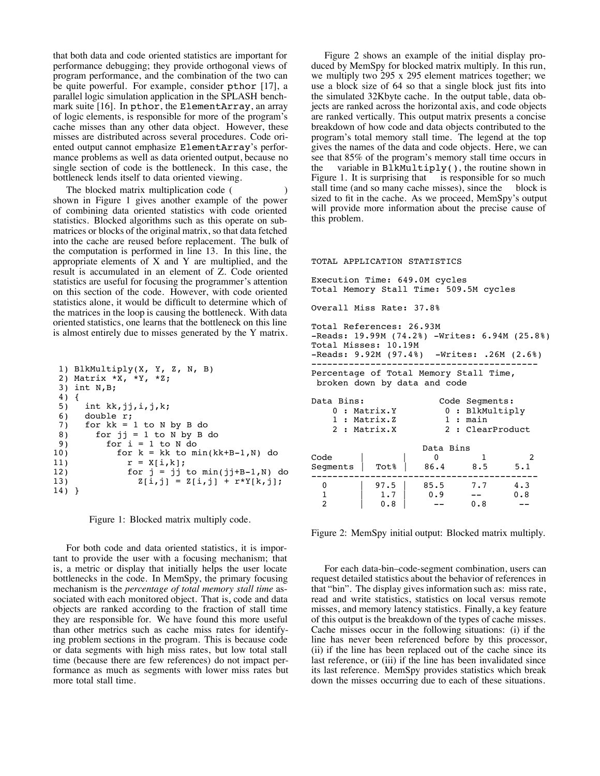that both data and code oriented statistics are important for performance debugging; they provide orthogonal views of program performance, and the combination of the two can be quite powerful. For example, consider pthor [17], a parallel logic simulation application in the SPLASH benchmark suite [16]. In pthor, the ElementArray, an array of logic elements, is responsible for more of the program's cache misses than any other data object. However, these misses are distributed across several procedures. Code oriented output cannot emphasize ElementArray's performance problems as well as data oriented output, because no single section of code is the bottleneck. In this case, the bottleneck lends itself to data oriented viewing.

The blocked matrix multiplication code ( shown in Figure 1 gives another example of the power of combining data oriented statistics with code oriented statistics. Blocked algorithms such as this operate on submatrices or blocks of the original matrix, so that data fetched into the cache are reused before replacement. The bulk of the computation is performed in line 13. In this line, the appropriate elements of X and Y are multiplied, and the result is accumulated in an element of Z. Code oriented statistics are useful for focusing the programmer's attention on this section of the code. However, with code oriented statistics alone, it would be difficult to determine which of the matrices in the loop is causing the bottleneck. With data oriented statistics, one learns that the bottleneck on this line is almost entirely due to misses generated by the Y matrix.

|      | 1) BlkMultiply(X, Y, Z, N, B)         |
|------|---------------------------------------|
|      | 2) Matrix *X, *Y, *Z;                 |
|      | 3) int $N,B$ ;                        |
| 4) { |                                       |
| 5)   | int kk,jj,i,j,k;                      |
|      | $6)$ double r;                        |
|      | 7) for $kk = 1$ to N by B do          |
| 8)   | for $ji = 1$ to N by B do             |
| 9)   | for $i = 1$ to N do                   |
| 10)  | for $k = kk$ to $min(kk+B-1, N)$ do   |
| 11)  | $r = X[i,k];$                         |
| 12)  | for $j = jj$ to min( $jj+B-1$ , N) do |
| 13)  | $Z[i, j] = Z[i, j] + r*Y[k, j];$      |
| 14)  |                                       |
|      |                                       |

Figure 1: Blocked matrix multiply code.

For both code and data oriented statistics, it is important to provide the user with a focusing mechanism; that is, a metric or display that initially helps the user locate bottlenecks in the code. In MemSpy, the primary focusing mechanism is the *percentage of total memory stall time* associated with each monitored object. That is, code and data objects are ranked according to the fraction of stall time they are responsible for. We have found this more useful than other metrics such as cache miss rates for identifying problem sections in the program. This is because code or data segments with high miss rates, but low total stall time (because there are few references) do not impact performance as much as segments with lower miss rates but more total stall time.

Figure 2 shows an example of the initial display produced by MemSpy for blocked matrix multiply. In this run, we multiply two 295 x 295 element matrices together; we use a block size of 64 so that a single block just fits into the simulated 32Kbyte cache. In the output table, data objects are ranked across the horizontal axis, and code objects are ranked vertically. This output matrix presents a concise breakdown of how code and data objects contributed to the program's total memory stall time. The legend at the top gives the names of the data and code objects. Here, we can see that 85% of the program's memory stall time occurs in the variable in BlkMultiply(), the routine shown in Figure 1. It is surprising that is responsible for so much stall time (and so many cache misses), since the block is sized to fit in the cache. As we proceed, MemSpy's output will provide more information about the precise cause of this problem.

#### TOTAL APPLICATION STATISTICS

Execution Time: 649.0M cycles Total Memory Stall Time: 509.5M cycles

Overall Miss Rate: 37.8%

Total References: 26.93M -Reads: 19.99M (74.2%) -Writes: 6.94M (25.8%) Total Misses: 10.19M -Reads: 9.92M (97.4%) -Writes: .26M (2.6%) ------------------------------------------

Percentage of Total Memory Stall Time, broken down by data and code

| Data Bins:              | $0:$ Matrix. Y<br>1 : Matrix.Z<br>2 : Matrix.X |           | Code Seqments:<br>0: B1kMultiply<br>$1$ : main<br>2 : ClearProduct |     |  |
|-------------------------|------------------------------------------------|-----------|--------------------------------------------------------------------|-----|--|
| Code                    |                                                | Data Bins |                                                                    |     |  |
| Seqments                | Tot%                                           | 86.4      | 8.5                                                                | 5.1 |  |
| 0                       | 97.5                                           | 85.5      | 7.7                                                                | 4.3 |  |
| $\overline{\mathbf{c}}$ | 1.7<br>0.8                                     | 0.9       | 0.8                                                                | 0.8 |  |
|                         |                                                |           |                                                                    |     |  |

Figure 2: MemSpy initial output: Blocked matrix multiply.

For each data-bin–code-segment combination, users can request detailed statistics about the behavior of references in that "bin". The display gives information such as: miss rate, read and write statistics, statistics on local versus remote misses, and memory latency statistics. Finally, a key feature of this output is the breakdown of the types of cache misses. Cache misses occur in the following situations: (i) if the line has never been referenced before by this processor, (ii) if the line has been replaced out of the cache since its last reference, or (iii) if the line has been invalidated since its last reference. MemSpy provides statistics which break down the misses occurring due to each of these situations.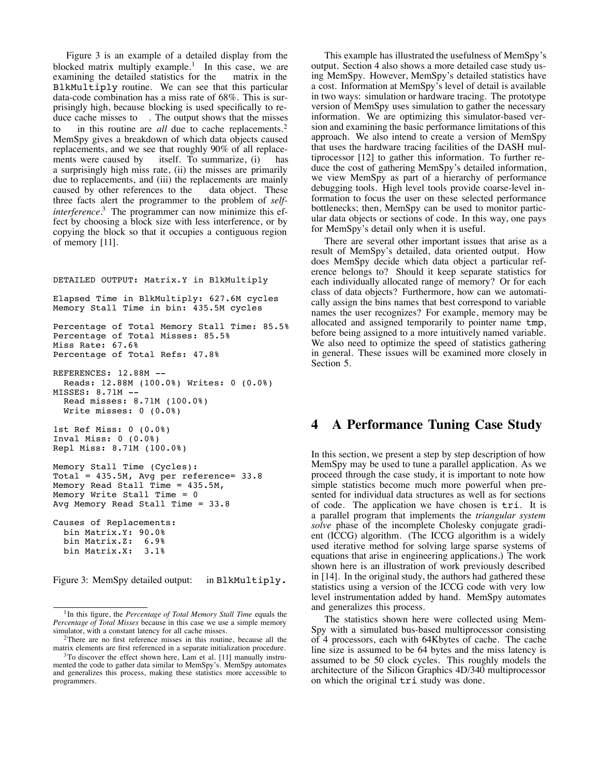Figure 3 is an example of a detailed display from the blocked matrix multiply example.<sup>1</sup> In this case, we are examining the detailed statistics for the matrix in the BlkMultiply routine. We can see that this particular data-code combination has a miss rate of 68%. This is surprisingly high, because blocking is used specifically to reduce cache misses to . The output shows that the misses to in this routine are *all* due to cache replacements.<sup>2</sup> MemSpy gives a breakdown of which data objects caused replacements, and we see that roughly 90% of all replacements were caused by itself. To summarize, (i) has a surprisingly high miss rate, (ii) the misses are primarily due to replacements, and (iii) the replacements are mainly caused by other references to the data object. These three facts alert the programmer to the problem of *selfinterference*. <sup>3</sup> The programmer can now minimize this effect by choosing a block size with less interference, or by copying the block so that it occupies a contiguous region of memory [11].

DETAILED OUTPUT: Matrix.Y in BlkMultiply

Elapsed Time in BlkMultiply: 627.6M cycles Memory Stall Time in bin: 435.5M cycles Percentage of Total Memory Stall Time: 85.5% Percentage of Total Misses: 85.5% Miss Rate: 67.6% Percentage of Total Refs: 47.8% REFERENCES: 12.88M -- Reads: 12.88M (100.0%) Writes: 0 (0.0%) MISSES: 8.71M -- Read misses: 8.71M (100.0%) Write misses: 0 (0.0%) 1st Ref Miss: 0 (0.0%) Inval Miss: 0 (0.0%) Repl Miss: 8.71M (100.0%)

```
Memory Stall Time (Cycles):
Total = 435.5M, Avg per reference= 33.8
Memory Read Stall Time = 435.5M,
Memory Write Stall Time = 0
Avg Memory Read Stall Time = 33.8
```
Causes of Replacements: bin Matrix.Y: 90.0% bin Matrix.Z: 6.9% bin Matrix.X: 3.1%

Figure 3: MemSpy detailed output: in BlkMultiply.

This example has illustrated the usefulness of MemSpy's output. Section 4 also shows a more detailed case study using MemSpy. However, MemSpy's detailed statistics have a cost. Information at MemSpy's level of detail is available in two ways: simulation or hardware tracing. The prototype version of MemSpy uses simulation to gather the necessary information. We are optimizing this simulator-based version and examining the basic performance limitations of this approach. We also intend to create a version of MemSpy that uses the hardware tracing facilities of the DASH multiprocessor [12] to gather this information. To further reduce the cost of gathering MemSpy's detailed information, we view MemSpy as part of a hierarchy of performance debugging tools. High level tools provide coarse-level information to focus the user on these selected performance bottlenecks; then, MemSpy can be used to monitor particular data objects or sections of code. In this way, one pays for MemSpy's detail only when it is useful.

There are several other important issues that arise as a result of MemSpy's detailed, data oriented output. How does MemSpy decide which data object a particular reference belongs to? Should it keep separate statistics for each individually allocated range of memory? Or for each class of data objects? Furthermore, how can we automatically assign the bins names that best correspond to variable names the user recognizes? For example, memory may be allocated and assigned temporarily to pointer name tmp, before being assigned to a more intuitively named variable. We also need to optimize the speed of statistics gathering in general. These issues will be examined more closely in Section 5.

## **4 A Performance Tuning Case Study**

In this section, we present a step by step description of how MemSpy may be used to tune a parallel application. As we proceed through the case study, it is important to note how simple statistics become much more powerful when presented for individual data structures as well as for sections of code. The application we have chosen is tri. It is a parallel program that implements the *triangular system solve* phase of the incomplete Cholesky conjugate gradient (ICCG) algorithm. (The ICCG algorithm is a widely used iterative method for solving large sparse systems of equations that arise in engineering applications.) The work shown here is an illustration of work previously described in [14]. In the original study, the authors had gathered these statistics using a version of the ICCG code with very low level instrumentation added by hand. MemSpy automates and generalizes this process.

The statistics shown here were collected using Mem-Spy with a simulated bus-based multiprocessor consisting of 4 processors, each with 64Kbytes of cache. The cache line size is assumed to be 64 bytes and the miss latency is assumed to be 50 clock cycles. This roughly models the architecture of the Silicon Graphics 4D/340 multiprocessor on which the original tri study was done.

<sup>1</sup>In this figure, the *Percentage of Total Memory Stall Time* equals the *Percentage of Total Misses* because in this case we use a simple memory simulator, with a constant latency for all cache misses.

<sup>2</sup>There are no first reference misses in this routine, because all the matrix elements are first referenced in a separate initialization procedure.

 $3$ To discover the effect shown here, Lam et al. [11] manually instrumented the code to gather data similar to MemSpy's. MemSpy automates and generalizes this process, making these statistics more accessible to programmers.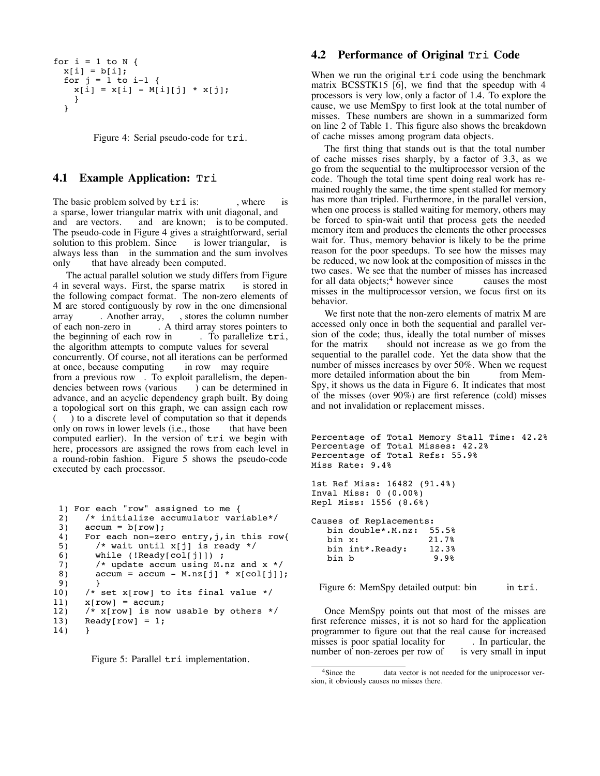```
for i = 1 to N \{x[i] = b[i];for j = 1 to i-1 {
   x[i] = x[i] - M[i][j] * x[j];}
  }
```
Figure 4: Serial pseudo-code for tri.

### **4.1 Example Application:** Tri

The basic problem solved by tri is: , where is a sparse, lower triangular matrix with unit diagonal, and and are vectors. and are known; is to be computed. The pseudo-code in Figure 4 gives a straightforward, serial solution to this problem. Since is lower triangular, is solution to this problem. Since always less than in the summation and the sum involves only that have already been computed.

The actual parallel solution we study differs from Figure 4 in several ways. First, the sparse matrix is stored in the following compact format. The non-zero elements of M are stored contiguously by row in the one dimensional array . Another array, stores the column number . Another array, , stores the column number of each non-zero in . A third array stores pointers to the beginning of each row in . To parallelize  $\text{tri}$ . the beginning of each row in. the algorithm attempts to compute values for several concurrently. Of course, not all iterations can be performed<br>at once, because computing in row may require at once, because computing from a previous row. To exploit parallelism, the dependencies between rows (various ) can be determined in dencies between rows (various advance, and an acyclic dependency graph built. By doing a topological sort on this graph, we can assign each row ( ) to a discrete level of computation so that it depends only on rows in lower levels (i.e., those that have been computed earlier). In the version of tri we begin with here, processors are assigned the rows from each level in a round-robin fashion. Figure 5 shows the pseudo-code executed by each processor.

```
1) For each "row" assigned to me {<br>2) /* initialize accumulator var.
  2) /* initialize accumulator variable*/<br>3) \alphaccum = b[row];
           \text{accum} = \text{b}[\text{row}];4) For each non-zero entry, j, in this row{<br>5) /* wait until x[j] is ready */
              /* wait until x[j] is ready */
  6) while (!Ready[col[j]]) ;<br>7) /* update accum using M.
  7) \frac{7}{8} /* update accum using M.nz and x */<br>8) accum = accum - M.nz[j] * x[col[j]]
              \text{accum} = \text{accum} - M \cdot \text{nz}[j] * x[\text{col}[j]];\begin{pmatrix} 9 \\ 10 \end{pmatrix}10) /* set x[row] to its final value */<br>11) x[row] = accum;
11) x[row] = accum;<br>12) /* x[row] is no
12) /* x[row] is now usable by others */<br>13) Ready[row] = 1;
           \text{Ready}[\text{row}] = 1;14) }
```
Figure 5: Parallel tri implementation.

### **4.2 Performance of Original** Tri **Code**

When we run the original  $tri$  code using the benchmark matrix BCSSTK15 [6], we find that the speedup with 4 processors is very low, only a factor of 1.4. To explore the cause, we use MemSpy to first look at the total number of misses. These numbers are shown in a summarized form on line 2 of Table 1. This figure also shows the breakdown of cache misses among program data objects.

The first thing that stands out is that the total number of cache misses rises sharply, by a factor of 3.3, as we go from the sequential to the multiprocessor version of the code. Though the total time spent doing real work has remained roughly the same, the time spent stalled for memory has more than tripled. Furthermore, in the parallel version, when one process is stalled waiting for memory, others may be forced to spin-wait until that process gets the needed memory item and produces the elements the other processes wait for. Thus, memory behavior is likely to be the prime reason for the poor speedups. To see how the misses may be reduced, we now look at the composition of misses in the two cases. We see that the number of misses has increased for all data objects;<sup>4</sup> however since causes the most misses in the multiprocessor version, we focus first on its behavior.

We first note that the non-zero elements of matrix M are accessed only once in both the sequential and parallel version of the code; thus, ideally the total number of misses for the matrix should not increase as we go from the should not increase as we go from the sequential to the parallel code. Yet the data show that the number of misses increases by over 50%. When we request more detailed information about the bin from Mem-Spy, it shows us the data in Figure 6. It indicates that most of the misses (over 90%) are first reference (cold) misses and not invalidation or replacement misses.

Percentage of Total Memory Stall Time: 42.2% Percentage of Total Misses: 42.2% Percentage of Total Refs: 55.9% Miss Rate: 9.4% 1st Ref Miss: 16482 (91.4%) Inval Miss: 0 (0.00%) Repl Miss: 1556 (8.6%) Causes of Replacements: bin double\*.M.nz: 55.5% bin x: 21.7% bin int\*.Ready: 12.3% bin b 9.9% Figure 6: MemSpy detailed output: bin in tri.

Once MemSpy points out that most of the misses are first reference misses, it is not so hard for the application programmer to figure out that the real cause for increased misses is poor spatial locality for . In particular, the misses is poor spatial locality for . In particular, the number of non-zeroes per row of is very small in input number of non-zeroes per row of

<sup>&</sup>lt;sup>4</sup>Since the data vector is not needed for the uniprocessor version, it obviously causes no misses there.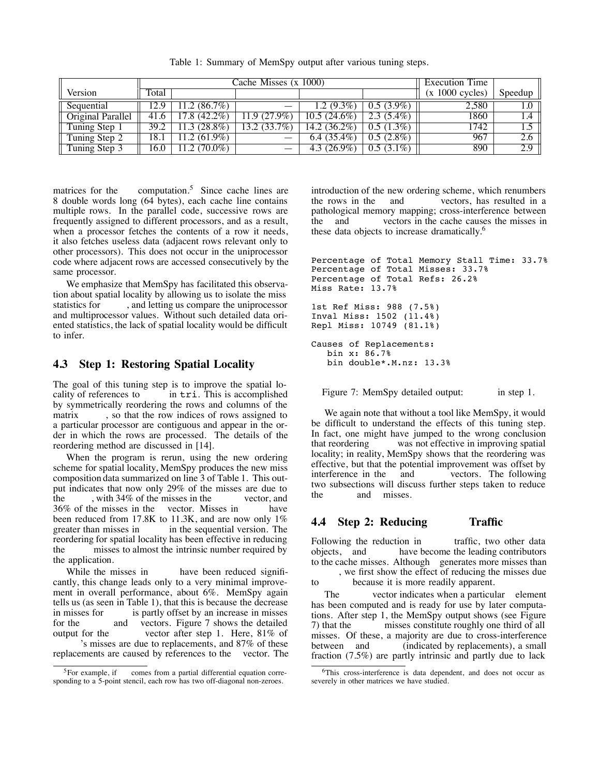|                   | Cache Misses (x 1000) |                        |                |                                 |                           | <b>Execution Time</b> |         |
|-------------------|-----------------------|------------------------|----------------|---------------------------------|---------------------------|-----------------------|---------|
| Version           | Total                 |                        |                |                                 |                           | $(x 1000$ cycles)     | Speedup |
| Sequential        |                       | 11.2(86.7%)            |                |                                 | $1.2(9.3\%)$   0.5 (3.9%) | 2,580                 |         |
| Original Parallel |                       | 41.6   17.8 $(42.2\%)$ | $11.9(27.9\%)$ | $10.5(24.6\%)$                  | $2.3(5.4\%)$              | 1860                  |         |
| Tuning Step 1     |                       | $39.2$   11.3 (28.8%)  | 13.2 (33.7%)   | 14.2 $(36.2\%)$   0.5 $(1.3\%)$ |                           | 1742                  |         |
| Tuning Step 2     | 18.1                  | $11.2(61.9\%)$         |                | 6.4 $(35.4\%)$   0.5 $(2.8\%)$  |                           | 967                   | 2.6     |
| Tuning Step 3     | 16.0                  | $11.2(70.0\%)$         |                | 4.3 $(26.9\%)$                  | $0.5(3.1\%)$              | 890                   | 2.9     |

Table 1: Summary of MemSpy output after various tuning steps.

matrices for the computation.<sup>5</sup> Since cache lines are 8 double words long (64 bytes), each cache line contains multiple rows. In the parallel code, successive rows are frequently assigned to different processors, and as a result, when a processor fetches the contents of a row it needs, it also fetches useless data (adjacent rows relevant only to other processors). This does not occur in the uniprocessor code where adjacent rows are accessed consecutively by the same processor.

We emphasize that MemSpy has facilitated this observation about spatial locality by allowing us to isolate the miss statistics for , and letting us compare the uniprocessor and multiprocessor values. Without such detailed data oriented statistics, the lack of spatial locality would be difficult to infer.

#### **4.3 Step 1: Restoring Spatial Locality**

The goal of this tuning step is to improve the spatial locality of references to in tri. This is accomplished by symmetrically reordering the rows and columns of the matrix , so that the row indices of rows assigned to a particular processor are contiguous and appear in the order in which the rows are processed. The details of the reordering method are discussed in [14].

When the program is rerun, using the new ordering scheme for spatial locality, MemSpy produces the new miss composition data summarized on line 3 of Table 1. This output indicates that now only 29% of the misses are due to the , with 34% of the misses in the vector, and 36% of the misses in the vector. Misses in have been reduced from 17.8K to 11.3K, and are now only 1% greater than misses in in the sequential version. The reordering for spatial locality has been effective in reducing the misses to almost the intrinsic number required by the application.

While the misses in have been reduced significantly, this change leads only to a very minimal improvement in overall performance, about 6%. MemSpy again tells us (as seen in Table 1), that this is because the decrease in misses for is partly offset by an increase in misses for the and vectors. Figure 7 shows the detailed<br>output for the vector after step 1. Here, 81% of vector after step 1. Here,  $81\%$  of 's misses are due to replacements, and 87% of these replacements are caused by references to the vector. The introduction of the new ordering scheme, which renumbers the rows in the and vectors, has resulted in a pathological memory mapping; cross-interference between the and vectors in the cache causes the misses in these data objects to increase dramatically.<sup>6</sup>

```
Percentage of Total Memory Stall Time: 33.7%
Percentage of Total Misses: 33.7%
Percentage of Total Refs: 26.2%
Miss Rate: 13.7%
1st Ref Miss: 988 (7.5%)
Inval Miss: 1502 (11.4%)
Repl Miss: 10749 (81.1%)
Causes of Replacements:
  bin x: 86.7%
  bin double*.M.nz: 13.3%
```
Figure 7: MemSpy detailed output: in step 1.

We again note that without a tool like MemSpy, it would be difficult to understand the effects of this tuning step. In fact, one might have jumped to the wrong conclusion that reordering was not effective in improving spatial locality; in reality, MemSpy shows that the reordering was effective, but that the potential improvement was offset by interference in the and vectors. The following two subsections will discuss further steps taken to reduce the and misses. misses.

### **4.4 Step 2: Reducing Traffic**

Following the reduction in traffic, two other data objects, and have become the leading contributors have become the leading contributors to the cache misses. Although generates more misses than , we first show the effect of reducing the misses due

to because it is more readily apparent.

The vector indicates when a particular element has been computed and is ready for use by later computations. After step 1, the MemSpy output shows (see Figure 7) that the misses constitute roughly one third of all misses. Of these, a majority are due to cross-interference between and (indicated by replacements), a small fraction (7.5%) are partly intrinsic and partly due to lack

 ${}^{5}$ For example, if comes from a partial differential equation corresponding to a 5-point stencil, each row has two off-diagonal non-zeroes.

<sup>6</sup>This cross-interference is data dependent, and does not occur as severely in other matrices we have studied.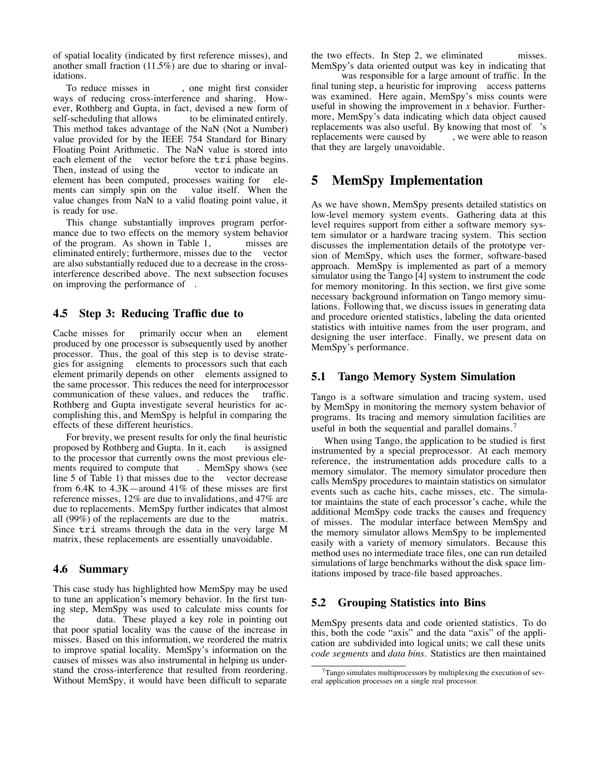of spatial locality (indicated by first reference misses), and another small fraction (11.5%) are due to sharing or invalidations.

To reduce misses in , one might first consider ways of reducing cross-interference and sharing. However, Rothberg and Gupta, in fact, devised a new form of self-scheduling that allows to be eliminated entirely. This method takes advantage of the NaN (Not a Number) value provided for by the IEEE 754 Standard for Binary Floating Point Arithmetic. The NaN value is stored into each element of the vector before the tri phase begins. Then, instead of using the vector to indicate an element has been computed, processes waiting for elements can simply spin on the value itself. When the ments can simply spin on the value changes from NaN to a valid floating point value, it is ready for use.

This change substantially improves program performance due to two effects on the memory system behavior of the program. As shown in Table 1, misses are eliminated entirely; furthermore, misses due to the vector are also substantially reduced due to a decrease in the crossinterference described above. The next subsection focuses on improving the performance of .

#### **4.5 Step 3: Reducing Traffic due to**

Cache misses for primarily occur when an element produced by one processor is subsequently used by another processor. Thus, the goal of this step is to devise strategies for assigning elements to processors such that each element primarily depends on other elements assigned to the same processor. This reduces the need for interprocessor communication of these values, and reduces the traffic. Rothberg and Gupta investigate several heuristics for accomplishing this, and MemSpy is helpful in comparing the effects of these different heuristics.

For brevity, we present results for only the final heuristic posed by Rothberg and Gupta. In it, each is assigned proposed by Rothberg and Gupta. In it, each to the processor that currently owns the most previous elements required to compute that . MemSpy shows (see line 5 of Table 1) that misses due to the vector decrease from 6.4K to 4.3K—around 41% of these misses are first reference misses, 12% are due to invalidations, and 47% are due to replacements. MemSpy further indicates that almost all (99%) of the replacements are due to the matrix. Since tri streams through the data in the very large M matrix, these replacements are essentially unavoidable.

#### **4.6 Summary**

This case study has highlighted how MemSpy may be used to tune an application's memory behavior. In the first tuning step, MemSpy was used to calculate miss counts for the data. These played a key role in pointing out that poor spatial locality was the cause of the increase in misses. Based on this information, we reordered the matrix to improve spatial locality. MemSpy's information on the causes of misses was also instrumental in helping us understand the cross-interference that resulted from reordering. Without MemSpy, it would have been difficult to separate the two effects. In Step 2, we eliminated misses. MemSpy's data oriented output was key in indicating that

was responsible for a large amount of traffic. In the final tuning step, a heuristic for improving access patterns was examined. Here again, MemSpy's miss counts were useful in showing the improvement in *x* behavior. Furthermore, MemSpy's data indicating which data object caused replacements was also useful. By knowing that most of 's<br>replacements were caused by , we were able to reason replacements were caused by that they are largely unavoidable.

### **5 MemSpy Implementation**

As we have shown, MemSpy presents detailed statistics on low-level memory system events. Gathering data at this level requires support from either a software memory system simulator or a hardware tracing system. This section discusses the implementation details of the prototype version of MemSpy, which uses the former, software-based approach. MemSpy is implemented as part of a memory simulator using the Tango [4] system to instrument the code for memory monitoring. In this section, we first give some necessary background information on Tango memory simulations. Following that, we discuss issues in generating data and procedure oriented statistics, labeling the data oriented statistics with intuitive names from the user program, and designing the user interface. Finally, we present data on MemSpy's performance.

#### **5.1 Tango Memory System Simulation**

Tango is a software simulation and tracing system, used by MemSpy in monitoring the memory system behavior of programs. Its tracing and memory simulation facilities are useful in both the sequential and parallel domains.<sup>7</sup>

When using Tango, the application to be studied is first instrumented by a special preprocessor. At each memory reference, the instrumentation adds procedure calls to a memory simulator. The memory simulator procedure then calls MemSpy procedures to maintain statistics on simulator events such as cache hits, cache misses, etc. The simulator maintains the state of each processor's cache, while the additional MemSpy code tracks the causes and frequency of misses. The modular interface between MemSpy and the memory simulator allows MemSpy to be implemented easily with a variety of memory simulators. Because this method uses no intermediate trace files, one can run detailed simulations of large benchmarks without the disk space limitations imposed by trace-file based approaches.

### **5.2 Grouping Statistics into Bins**

MemSpy presents data and code oriented statistics. To do this, both the code "axis" and the data "axis" of the application are subdivided into logical units; we call these units *code segments* and *data bins*. Statistics are then maintained

<sup>7</sup>Tango simulates multiprocessors by multiplexing the execution of several application processes on a single real processor.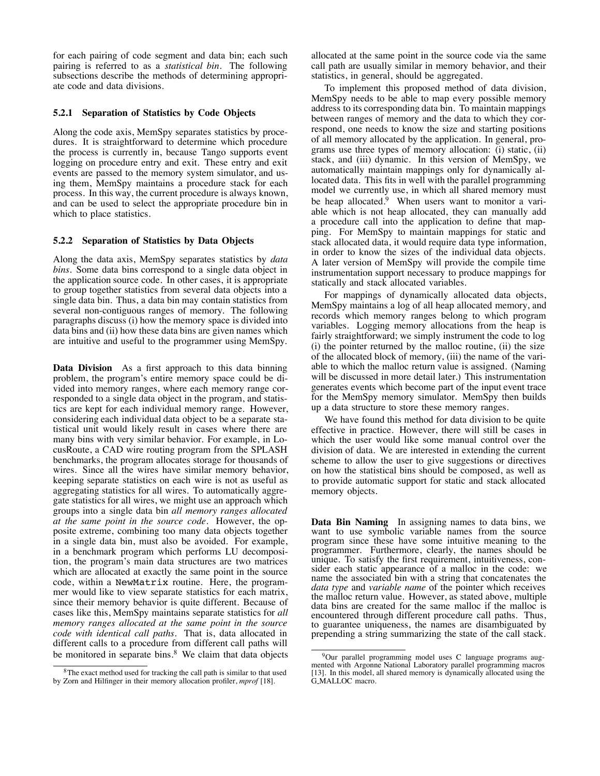for each pairing of code segment and data bin; each such pairing is referred to as a *statistical bin*. The following subsections describe the methods of determining appropriate code and data divisions.

#### **5.2.1 Separation of Statistics by Code Objects**

Along the code axis, MemSpy separates statistics by procedures. It is straightforward to determine which procedure the process is currently in, because Tango supports event logging on procedure entry and exit. These entry and exit events are passed to the memory system simulator, and using them, MemSpy maintains a procedure stack for each process. In this way, the current procedure is always known, and can be used to select the appropriate procedure bin in which to place statistics.

#### **5.2.2 Separation of Statistics by Data Objects**

Along the data axis, MemSpy separates statistics by *data bins*. Some data bins correspond to a single data object in the application source code. In other cases, it is appropriate to group together statistics from several data objects into a single data bin. Thus, a data bin may contain statistics from several non-contiguous ranges of memory. The following paragraphs discuss (i) how the memory space is divided into data bins and (ii) how these data bins are given names which are intuitive and useful to the programmer using MemSpy.

**Data Division** As a first approach to this data binning problem, the program's entire memory space could be divided into memory ranges, where each memory range corresponded to a single data object in the program, and statistics are kept for each individual memory range. However, considering each individual data object to be a separate statistical unit would likely result in cases where there are many bins with very similar behavior. For example, in LocusRoute, a CAD wire routing program from the SPLASH benchmarks, the program allocates storage for thousands of wires. Since all the wires have similar memory behavior, keeping separate statistics on each wire is not as useful as aggregating statistics for all wires. To automatically aggregate statistics for all wires, we might use an approach which groups into a single data bin *all memory ranges allocated at the same point in the source code*. However, the opposite extreme, combining too many data objects together in a single data bin, must also be avoided. For example, in a benchmark program which performs LU decomposition, the program's main data structures are two matrices which are allocated at exactly the same point in the source code, within a NewMatrix routine. Here, the programmer would like to view separate statistics for each matrix, since their memory behavior is quite different. Because of cases like this, MemSpy maintains separate statistics for *all memory ranges allocated at the same point in the source code with identical call paths*. That is, data allocated in different calls to a procedure from different call paths will be monitored in separate bins.<sup>8</sup> We claim that data objects

allocated at the same point in the source code via the same call path are usually similar in memory behavior, and their statistics, in general, should be aggregated.

To implement this proposed method of data division, MemSpy needs to be able to map every possible memory address to its corresponding data bin. To maintain mappings between ranges of memory and the data to which they correspond, one needs to know the size and starting positions of all memory allocated by the application. In general, programs use three types of memory allocation: (i) static, (ii) stack, and (iii) dynamic. In this version of MemSpy, we automatically maintain mappings only for dynamically allocated data. This fits in well with the parallel programming model we currently use, in which all shared memory must be heap allocated. $9$  When users want to monitor a variable which is not heap allocated, they can manually add a procedure call into the application to define that mapping. For MemSpy to maintain mappings for static and stack allocated data, it would require data type information, in order to know the sizes of the individual data objects. A later version of MemSpy will provide the compile time instrumentation support necessary to produce mappings for statically and stack allocated variables.

For mappings of dynamically allocated data objects, MemSpy maintains a log of all heap allocated memory, and records which memory ranges belong to which program variables. Logging memory allocations from the heap is fairly straightforward; we simply instrument the code to log (i) the pointer returned by the malloc routine, (ii) the size of the allocated block of memory, (iii) the name of the variable to which the malloc return value is assigned. (Naming will be discussed in more detail later.) This instrumentation generates events which become part of the input event trace for the MemSpy memory simulator. MemSpy then builds up a data structure to store these memory ranges.

We have found this method for data division to be quite effective in practice. However, there will still be cases in which the user would like some manual control over the division of data. We are interested in extending the current scheme to allow the user to give suggestions or directives on how the statistical bins should be composed, as well as to provide automatic support for static and stack allocated memory objects.

**Data Bin Naming** In assigning names to data bins, we want to use symbolic variable names from the source program since these have some intuitive meaning to the programmer. Furthermore, clearly, the names should be unique. To satisfy the first requirement, intuitiveness, consider each static appearance of a malloc in the code: we name the associated bin with a string that concatenates the *data type* and *variable name* of the pointer which receives the malloc return value. However, as stated above, multiple data bins are created for the same malloc if the malloc is encountered through different procedure call paths. Thus, to guarantee uniqueness, the names are disambiguated by prepending a string summarizing the state of the call stack.

<sup>&</sup>lt;sup>8</sup>The exact method used for tracking the call path is similar to that used by Zorn and Hilfinger in their memory allocation profiler, *mprof* [18].

<sup>&</sup>lt;sup>9</sup>Our parallel programming model uses C language programs augmented with Argonne National Laboratory parallel programming macros [13]. In this model, all shared memory is dynamically allocated using the G MALLOC macro.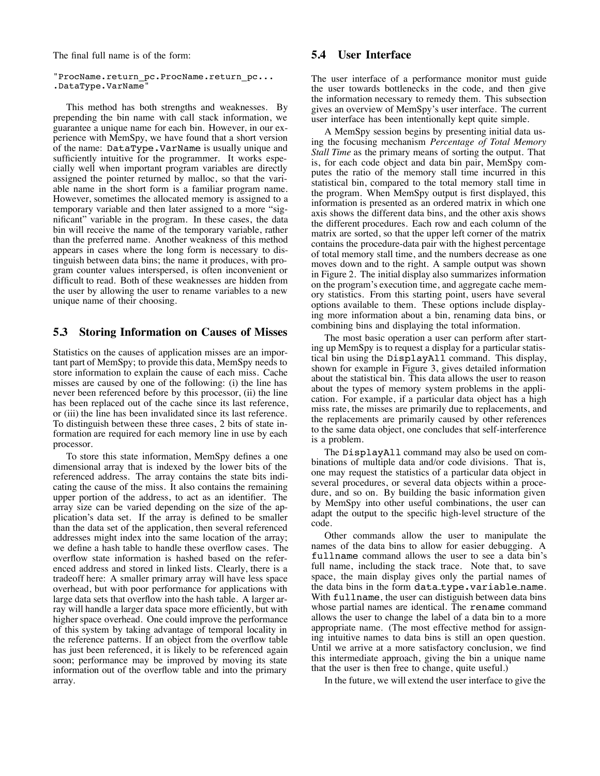The final full name is of the form:

"ProcName.return\_pc.ProcName.return\_pc... .DataType.VarName"

This method has both strengths and weaknesses. By prepending the bin name with call stack information, we guarantee a unique name for each bin. However, in our experience with MemSpy, we have found that a short version of the name: DataType.VarName is usually unique and sufficiently intuitive for the programmer. It works especially well when important program variables are directly assigned the pointer returned by malloc, so that the variable name in the short form is a familiar program name. However, sometimes the allocated memory is assigned to a temporary variable and then later assigned to a more "significant" variable in the program. In these cases, the data bin will receive the name of the temporary variable, rather than the preferred name. Another weakness of this method appears in cases where the long form is necessary to distinguish between data bins; the name it produces, with program counter values interspersed, is often inconvenient or difficult to read. Both of these weaknesses are hidden from the user by allowing the user to rename variables to a new unique name of their choosing.

#### **5.3 Storing Information on Causes of Misses**

Statistics on the causes of application misses are an important part of MemSpy; to provide this data, MemSpy needs to store information to explain the cause of each miss. Cache misses are caused by one of the following: (i) the line has never been referenced before by this processor, (ii) the line has been replaced out of the cache since its last reference, or (iii) the line has been invalidated since its last reference. To distinguish between these three cases, 2 bits of state information are required for each memory line in use by each processor.

To store this state information, MemSpy defines a one dimensional array that is indexed by the lower bits of the referenced address. The array contains the state bits indicating the cause of the miss. It also contains the remaining upper portion of the address, to act as an identifier. The array size can be varied depending on the size of the application's data set. If the array is defined to be smaller than the data set of the application, then several referenced addresses might index into the same location of the array; we define a hash table to handle these overflow cases. The overflow state information is hashed based on the referenced address and stored in linked lists. Clearly, there is a tradeoff here: A smaller primary array will have less space overhead, but with poor performance for applications with large data sets that overflow into the hash table. A larger array will handle a larger data space more efficiently, but with higher space overhead. One could improve the performance of this system by taking advantage of temporal locality in the reference patterns. If an object from the overflow table has just been referenced, it is likely to be referenced again soon; performance may be improved by moving its state information out of the overflow table and into the primary array.

### **5.4 User Interface**

The user interface of a performance monitor must guide the user towards bottlenecks in the code, and then give the information necessary to remedy them. This subsection gives an overview of MemSpy's user interface. The current user interface has been intentionally kept quite simple.

A MemSpy session begins by presenting initial data using the focusing mechanism *Percentage of Total Memory Stall Time* as the primary means of sorting the output. That is, for each code object and data bin pair, MemSpy computes the ratio of the memory stall time incurred in this statistical bin, compared to the total memory stall time in the program. When MemSpy output is first displayed, this information is presented as an ordered matrix in which one axis shows the different data bins, and the other axis shows the different procedures. Each row and each column of the matrix are sorted, so that the upper left corner of the matrix contains the procedure-data pair with the highest percentage of total memory stall time, and the numbers decrease as one moves down and to the right. A sample output was shown in Figure 2. The initial display also summarizes information on the program's execution time, and aggregate cache memory statistics. From this starting point, users have several options available to them. These options include displaying more information about a bin, renaming data bins, or combining bins and displaying the total information.

The most basic operation a user can perform after starting up MemSpy is to request a display for a particular statistical bin using the DisplayAll command. This display, shown for example in Figure 3, gives detailed information about the statistical bin. This data allows the user to reason about the types of memory system problems in the application. For example, if a particular data object has a high miss rate, the misses are primarily due to replacements, and the replacements are primarily caused by other references to the same data object, one concludes that self-interference is a problem.

The DisplayAll command may also be used on combinations of multiple data and/or code divisions. That is, one may request the statistics of a particular data object in several procedures, or several data objects within a procedure, and so on. By building the basic information given by MemSpy into other useful combinations, the user can adapt the output to the specific high-level structure of the code.

Other commands allow the user to manipulate the names of the data bins to allow for easier debugging. A fullname command allows the user to see a data bin's full name, including the stack trace. Note that, to save space, the main display gives only the partial names of the data bins in the form data type.variable name. With fullname, the user can distiguish between data bins whose partial names are identical. The rename command allows the user to change the label of a data bin to a more appropriate name. (The most effective method for assigning intuitive names to data bins is still an open question. Until we arrive at a more satisfactory conclusion, we find this intermediate approach, giving the bin a unique name that the user is then free to change, quite useful.)

In the future, we will extend the user interface to give the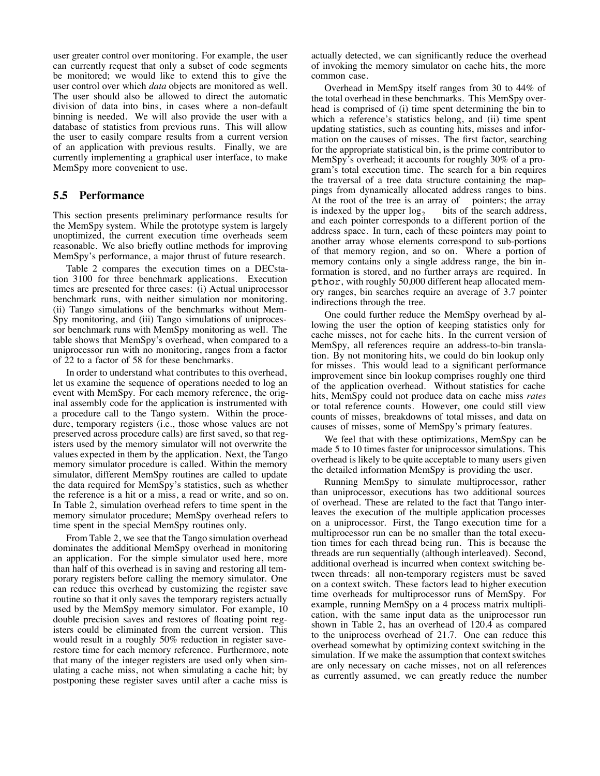user greater control over monitoring. For example, the user can currently request that only a subset of code segments be monitored; we would like to extend this to give the user control over which *data* objects are monitored as well. The user should also be allowed to direct the automatic division of data into bins, in cases where a non-default binning is needed. We will also provide the user with a database of statistics from previous runs. This will allow the user to easily compare results from a current version of an application with previous results. Finally, we are currently implementing a graphical user interface, to make MemSpy more convenient to use.

### **5.5 Performance**

This section presents preliminary performance results for the MemSpy system. While the prototype system is largely unoptimized, the current execution time overheads seem reasonable. We also briefly outline methods for improving MemSpy's performance, a major thrust of future research.

Table 2 compares the execution times on a DECstation 3100 for three benchmark applications. Execution times are presented for three cases: (i) Actual uniprocessor benchmark runs, with neither simulation nor monitoring. (ii) Tango simulations of the benchmarks without Mem-Spy monitoring, and (iii) Tango simulations of uniprocessor benchmark runs with MemSpy monitoring as well. The table shows that MemSpy's overhead, when compared to a uniprocessor run with no monitoring, ranges from a factor of 22 to a factor of 58 for these benchmarks.

In order to understand what contributes to this overhead, let us examine the sequence of operations needed to log an event with MemSpy. For each memory reference, the original assembly code for the application is instrumented with a procedure call to the Tango system. Within the procedure, temporary registers (i.e., those whose values are not preserved across procedure calls) are first saved, so that registers used by the memory simulator will not overwrite the values expected in them by the application. Next, the Tango memory simulator procedure is called. Within the memory simulator, different MemSpy routines are called to update the data required for MemSpy's statistics, such as whether the reference is a hit or a miss, a read or write, and so on. In Table 2, simulation overhead refers to time spent in the memory simulator procedure; MemSpy overhead refers to time spent in the special MemSpy routines only.

From Table 2, we see that the Tango simulation overhead dominates the additional MemSpy overhead in monitoring an application. For the simple simulator used here, more than half of this overhead is in saving and restoring all temporary registers before calling the memory simulator. One can reduce this overhead by customizing the register save routine so that it only saves the temporary registers actually used by the MemSpy memory simulator. For example, 10 double precision saves and restores of floating point registers could be eliminated from the current version. This would result in a roughly 50% reduction in register saverestore time for each memory reference. Furthermore, note that many of the integer registers are used only when simulating a cache miss, not when simulating a cache hit; by postponing these register saves until after a cache miss is

actually detected, we can significantly reduce the overhead of invoking the memory simulator on cache hits, the more common case.

Overhead in MemSpy itself ranges from 30 to 44% of the total overhead in these benchmarks. This MemSpy overhead is comprised of (i) time spent determining the bin to which a reference's statistics belong, and (ii) time spent updating statistics, such as counting hits, misses and information on the causes of misses. The first factor, searching for the appropriate statistical bin, is the prime contributor to MemSpy's overhead; it accounts for roughly 30% of a program's total execution time. The search for a bin requires the traversal of a tree data structure containing the mappings from dynamically allocated address ranges to bins. At the root of the tree is an array of pointers; the array is indexed by the upper  $log_2$  bits of the search address, is indexed by the upper  $log<sub>2</sub>$ and each pointer corresponds to a different portion of the address space. In turn, each of these pointers may point to another array whose elements correspond to sub-portions of that memory region, and so on. Where a portion of memory contains only a single address range, the bin information is stored, and no further arrays are required. In pthor, with roughly 50,000 different heap allocated memory ranges, bin searches require an average of 3.7 pointer indirections through the tree.

One could further reduce the MemSpy overhead by allowing the user the option of keeping statistics only for cache misses, not for cache hits. In the current version of MemSpy, all references require an address-to-bin translation. By not monitoring hits, we could do bin lookup only for misses. This would lead to a significant performance improvement since bin lookup comprises roughly one third of the application overhead. Without statistics for cache hits, MemSpy could not produce data on cache miss *rates* or total reference counts. However, one could still view counts of misses, breakdowns of total misses, and data on causes of misses, some of MemSpy's primary features.

We feel that with these optimizations, MemSpy can be made 5 to 10 times faster for uniprocessor simulations. This overhead is likely to be quite acceptable to many users given the detailed information MemSpy is providing the user.

Running MemSpy to simulate multiprocessor, rather than uniprocessor, executions has two additional sources of overhead. These are related to the fact that Tango interleaves the execution of the multiple application processes on a uniprocessor. First, the Tango execution time for a multiprocessor run can be no smaller than the total execution times for each thread being run. This is because the threads are run sequentially (although interleaved). Second, additional overhead is incurred when context switching between threads: all non-temporary registers must be saved on a context switch. These factors lead to higher execution time overheads for multiprocessor runs of MemSpy. For example, running MemSpy on a 4 process matrix multiplication, with the same input data as the uniprocessor run shown in Table 2, has an overhead of 120.4 as compared to the uniprocess overhead of 21.7. One can reduce this overhead somewhat by optimizing context switching in the simulation. If we make the assumption that context switches are only necessary on cache misses, not on all references as currently assumed, we can greatly reduce the number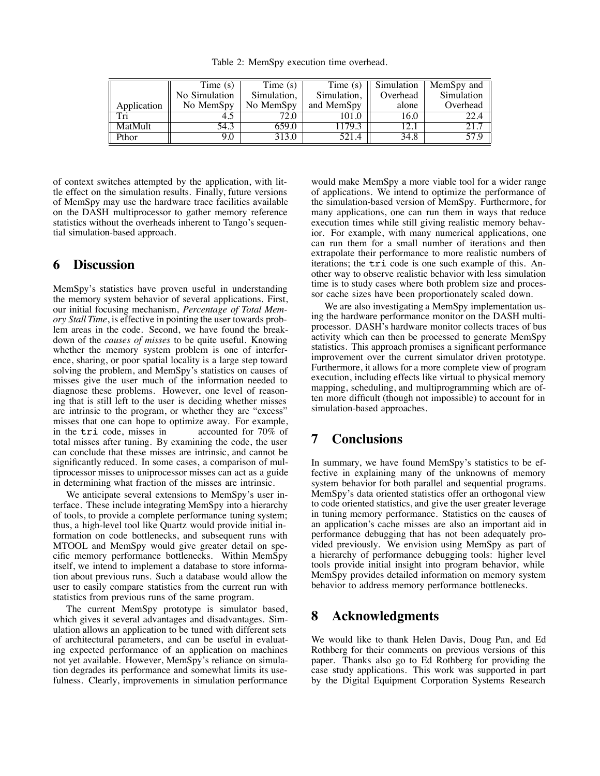Table 2: MemSpy execution time overhead.

|                | Time (s)      | Time (s)    | Time (s)    | Simulation | MemSpy and $\parallel$ |
|----------------|---------------|-------------|-------------|------------|------------------------|
|                | No Simulation | Simulation, | Simulation, | Overhead   | Simulation             |
| Application    | No MemSpy     | No MemSpy   | and MemSpy  | alone      | Overhead               |
| $T_{\Pi}$      |               |             | .01.0       | 16.0       | 22.4                   |
| <b>MatMult</b> | 54.3          | 659.0       | $+19.5$     |            |                        |
| Pthor          | 9.0           | 313.0       | 521.4       | 34.8       | 57.9                   |

of context switches attempted by the application, with little effect on the simulation results. Finally, future versions of MemSpy may use the hardware trace facilities available on the DASH multiprocessor to gather memory reference statistics without the overheads inherent to Tango's sequential simulation-based approach.

### **6 Discussion**

MemSpy's statistics have proven useful in understanding the memory system behavior of several applications. First, our initial focusing mechanism, *Percentage of Total Memory Stall Time*, is effective in pointing the user towards problem areas in the code. Second, we have found the breakdown of the *causes of misses* to be quite useful. Knowing whether the memory system problem is one of interference, sharing, or poor spatial locality is a large step toward solving the problem, and MemSpy's statistics on causes of misses give the user much of the information needed to diagnose these problems. However, one level of reasoning that is still left to the user is deciding whether misses are intrinsic to the program, or whether they are "excess" misses that one can hope to optimize away. For example, in the tri code, misses in accounted for 70% of in the tri code, misses in total misses after tuning. By examining the code, the user can conclude that these misses are intrinsic, and cannot be significantly reduced. In some cases, a comparison of multiprocessor misses to uniprocessor misses can act as a guide in determining what fraction of the misses are intrinsic.

We anticipate several extensions to MemSpy's user interface. These include integrating MemSpy into a hierarchy of tools, to provide a complete performance tuning system; thus, a high-level tool like Quartz would provide initial information on code bottlenecks, and subsequent runs with MTOOL and MemSpy would give greater detail on specific memory performance bottlenecks. Within MemSpy itself, we intend to implement a database to store information about previous runs. Such a database would allow the user to easily compare statistics from the current run with statistics from previous runs of the same program.

The current MemSpy prototype is simulator based, which gives it several advantages and disadvantages. Simulation allows an application to be tuned with different sets of architectural parameters, and can be useful in evaluating expected performance of an application on machines not yet available. However, MemSpy's reliance on simulation degrades its performance and somewhat limits its usefulness. Clearly, improvements in simulation performance would make MemSpy a more viable tool for a wider range of applications. We intend to optimize the performance of the simulation-based version of MemSpy. Furthermore, for many applications, one can run them in ways that reduce execution times while still giving realistic memory behavior. For example, with many numerical applications, one can run them for a small number of iterations and then extrapolate their performance to more realistic numbers of iterations; the tri code is one such example of this. Another way to observe realistic behavior with less simulation time is to study cases where both problem size and processor cache sizes have been proportionately scaled down.

We are also investigating a MemSpy implementation using the hardware performance monitor on the DASH multiprocessor. DASH's hardware monitor collects traces of bus activity which can then be processed to generate MemSpy statistics. This approach promises a significant performance improvement over the current simulator driven prototype. Furthermore, it allows for a more complete view of program execution, including effects like virtual to physical memory mapping, scheduling, and multiprogramming which are often more difficult (though not impossible) to account for in simulation-based approaches.

## **7 Conclusions**

In summary, we have found MemSpy's statistics to be effective in explaining many of the unknowns of memory system behavior for both parallel and sequential programs. MemSpy's data oriented statistics offer an orthogonal view to code oriented statistics, and give the user greater leverage in tuning memory performance. Statistics on the causes of an application's cache misses are also an important aid in performance debugging that has not been adequately provided previously. We envision using MemSpy as part of a hierarchy of performance debugging tools: higher level tools provide initial insight into program behavior, while MemSpy provides detailed information on memory system behavior to address memory performance bottlenecks.

### **8 Acknowledgments**

We would like to thank Helen Davis, Doug Pan, and Ed Rothberg for their comments on previous versions of this paper. Thanks also go to Ed Rothberg for providing the case study applications. This work was supported in part by the Digital Equipment Corporation Systems Research